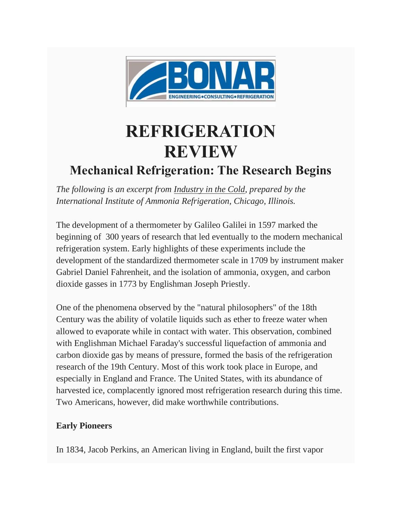

## **REFRIGERATION REVIEW**

## **Mechanical Refrigeration: The Research Begins**

*The following is an excerpt from Industry in the Cold, prepared by the International Institute of Ammonia Refrigeration, Chicago, Illinois.*

The development of a thermometer by Galileo Galilei in 1597 marked the beginning of 300 years of research that led eventually to the modern mechanical refrigeration system. Early highlights of these experiments include the development of the standardized thermometer scale in 1709 by instrument maker Gabriel Daniel Fahrenheit, and the isolation of ammonia, oxygen, and carbon dioxide gasses in 1773 by Englishman Joseph Priestly.

One of the phenomena observed by the "natural philosophers" of the 18th Century was the ability of volatile liquids such as ether to freeze water when allowed to evaporate while in contact with water. This observation, combined with Englishman Michael Faraday's successful liquefaction of ammonia and carbon dioxide gas by means of pressure, formed the basis of the refrigeration research of the 19th Century. Most of this work took place in Europe, and especially in England and France. The United States, with its abundance of harvested ice, complacently ignored most refrigeration research during this time. Two Americans, however, did make worthwhile contributions.

## **Early Pioneers**

In 1834, Jacob Perkins, an American living in England, built the first vapor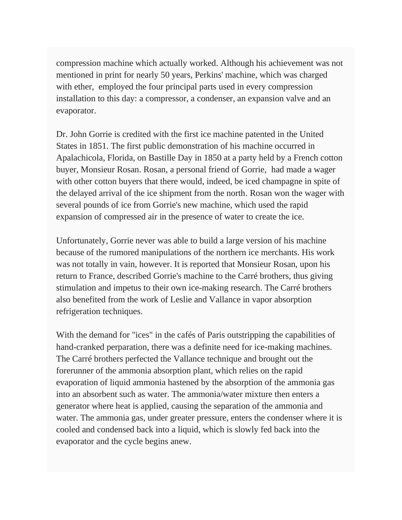compression machine which actually worked. Although his achievement was not mentioned in print for nearly 50 years, Perkins' machine, which was charged with ether, employed the four principal parts used in every compression installation to this day: a compressor, a condenser, an expansion valve and an evaporator.

Dr. John Gorrie is credited with the first ice machine patented in the United States in 1851. The first public demonstration of his machine occurred in Apalachicola, Florida, on Bastille Day in 1850 at a party held by a French cotton buyer, Monsieur Rosan. Rosan, a personal friend of Gorrie, had made a wager with other cotton buyers that there would, indeed, be iced champagne in spite of the delayed arrival of the ice shipment from the north. Rosan won the wager with several pounds of ice from Gorrie's new machine, which used the rapid expansion of compressed air in the presence of water to create the ice.

Unfortunately, Gorrie never was able to build a large version of his machine because of the rumored manipulations of the northern ice merchants. His work was not totally in vain, however. It is reported that Monsieur Rosan, upon his return to France, described Gorrie's machine to the Carré brothers, thus giving stimulation and impetus to their own ice-making research. The Carré brothers also benefited from the work of Leslie and Vallance in vapor absorption refrigeration techniques.

With the demand for "ices" in the cafés of Paris outstripping the capabilities of hand-cranked perparation, there was a definite need for ice-making machines. The Carré brothers perfected the Vallance technique and brought out the forerunner of the ammonia absorption plant, which relies on the rapid evaporation of liquid ammonia hastened by the absorption of the ammonia gas into an absorbent such as water. The ammonia/water mixture then enters a generator where heat is applied, causing the separation of the ammonia and water. The ammonia gas, under greater pressure, enters the condenser where it is cooled and condensed back into a liquid, which is slowly fed back into the evaporator and the cycle begins anew.